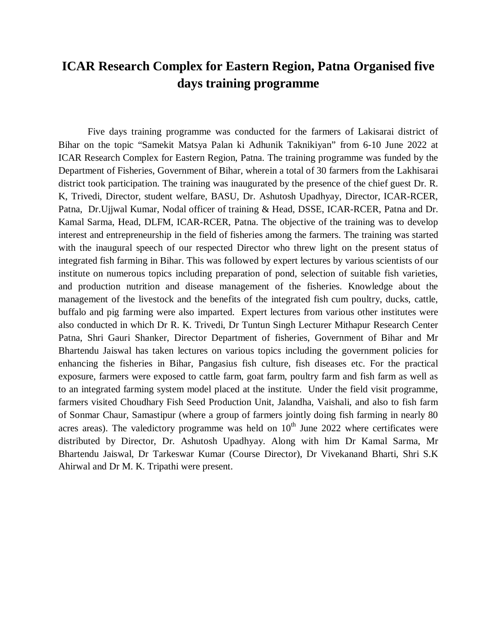## **ICAR Research Complex for Eastern Region, Patna Organised five days training programme**

Five days training programme was conducted for the farmers of Lakisarai district of Bihar on the topic "Samekit Matsya Palan ki Adhunik Taknikiyan" from 6-10 June 2022 at ICAR Research Complex for Eastern Region, Patna. The training programme was funded by the Department of Fisheries, Government of Bihar, wherein a total of 30 farmers from the Lakhisarai district took participation. The training was inaugurated by the presence of the chief guest Dr. R. K, Trivedi, Director, student welfare, BASU, Dr. Ashutosh Upadhyay, Director, ICAR-RCER, Patna, Dr.Ujjwal Kumar, Nodal officer of training & Head, DSSE, ICAR-RCER, Patna and Dr. Kamal Sarma, Head, DLFM, ICAR-RCER, Patna. The objective of the training was to develop interest and entrepreneurship in the field of fisheries among the farmers. The training was started with the inaugural speech of our respected Director who threw light on the present status of integrated fish farming in Bihar. This was followed by expert lectures by various scientists of our institute on numerous topics including preparation of pond, selection of suitable fish varieties, and production nutrition and disease management of the fisheries. Knowledge about the management of the livestock and the benefits of the integrated fish cum poultry, ducks, cattle, buffalo and pig farming were also imparted. Expert lectures from various other institutes were also conducted in which Dr R. K. Trivedi, Dr Tuntun Singh Lecturer Mithapur Research Center Patna, Shri Gauri Shanker, Director Department of fisheries, Government of Bihar and Mr Bhartendu Jaiswal has taken lectures on various topics including the government policies for enhancing the fisheries in Bihar, Pangasius fish culture, fish diseases etc. For the practical exposure, farmers were exposed to cattle farm, goat farm, poultry farm and fish farm as well as to an integrated farming system model placed at the institute. Under the field visit programme, farmers visited Choudhary Fish Seed Production Unit, Jalandha, Vaishali, and also to fish farm of Sonmar Chaur, Samastipur (where a group of farmers jointly doing fish farming in nearly 80 acres areas). The valedictory programme was held on  $10<sup>th</sup>$  June 2022 where certificates were distributed by Director, Dr. Ashutosh Upadhyay. Along with him Dr Kamal Sarma, Mr Bhartendu Jaiswal, Dr Tarkeswar Kumar (Course Director), Dr Vivekanand Bharti, Shri S.K Ahirwal and Dr M. K. Tripathi were present.